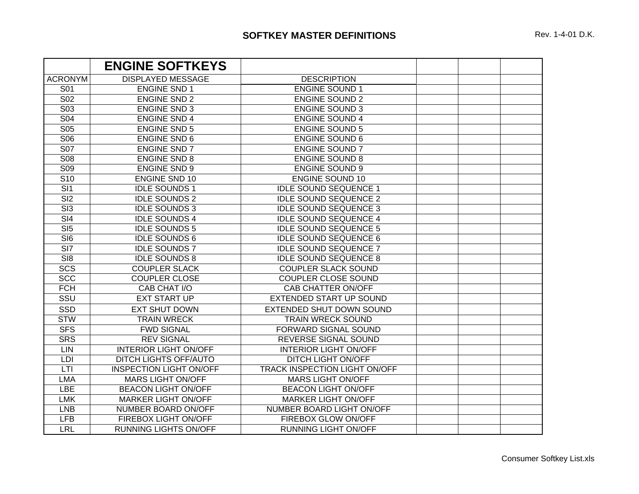## **SOFTKEY MASTER DEFINITIONS**

|                  | <b>ENGINE SOFTKEYS</b>         |                               |  |
|------------------|--------------------------------|-------------------------------|--|
| <b>ACRONYM</b>   | <b>DISPLAYED MESSAGE</b>       | <b>DESCRIPTION</b>            |  |
| S01              | <b>ENGINE SND 1</b>            | <b>ENGINE SOUND 1</b>         |  |
| <b>S02</b>       | <b>ENGINE SND 2</b>            | <b>ENGINE SOUND 2</b>         |  |
| <b>S03</b>       | <b>ENGINE SND 3</b>            | <b>ENGINE SOUND 3</b>         |  |
| <b>S04</b>       | <b>ENGINE SND 4</b>            | <b>ENGINE SOUND 4</b>         |  |
| <b>S05</b>       | <b>ENGINE SND 5</b>            | <b>ENGINE SOUND 5</b>         |  |
| S <sub>06</sub>  | <b>ENGINE SND 6</b>            | <b>ENGINE SOUND 6</b>         |  |
| <b>S07</b>       | <b>ENGINE SND 7</b>            | <b>ENGINE SOUND 7</b>         |  |
| <b>S08</b>       | <b>ENGINE SND 8</b>            | <b>ENGINE SOUND 8</b>         |  |
| <b>S09</b>       | <b>ENGINE SND 9</b>            | <b>ENGINE SOUND 9</b>         |  |
| S <sub>10</sub>  | <b>ENGINE SND 10</b>           | <b>ENGINE SOUND 10</b>        |  |
| $\overline{SI1}$ | <b>IDLE SOUNDS 1</b>           | <b>IDLE SOUND SEQUENCE 1</b>  |  |
| $\overline{SI2}$ | <b>IDLE SOUNDS 2</b>           | <b>IDLE SOUND SEQUENCE 2</b>  |  |
| $\overline{SI3}$ | <b>IDLE SOUNDS 3</b>           | <b>IDLE SOUND SEQUENCE 3</b>  |  |
| $\overline{SI4}$ | <b>IDLE SOUNDS 4</b>           | <b>IDLE SOUND SEQUENCE 4</b>  |  |
| $\overline{SI5}$ | <b>IDLE SOUNDS 5</b>           | <b>IDLE SOUND SEQUENCE 5</b>  |  |
| SI <sub>6</sub>  | <b>IDLE SOUNDS 6</b>           | <b>IDLE SOUND SEQUENCE 6</b>  |  |
| SI <sub>7</sub>  | <b>IDLE SOUNDS 7</b>           | <b>IDLE SOUND SEQUENCE 7</b>  |  |
| SI <sub>8</sub>  | <b>IDLE SOUNDS 8</b>           | <b>IDLE SOUND SEQUENCE 8</b>  |  |
| <b>SCS</b>       | <b>COUPLER SLACK</b>           | <b>COUPLER SLACK SOUND</b>    |  |
| <b>SCC</b>       | <b>COUPLER CLOSE</b>           | COUPLER CLOSE SOUND           |  |
| <b>FCH</b>       | CAB CHAT I/O                   | <b>CAB CHATTER ON/OFF</b>     |  |
| SSU              | <b>EXT START UP</b>            | EXTENDED START UP SOUND       |  |
| <b>SSD</b>       | <b>EXT SHUT DOWN</b>           | EXTENDED SHUT DOWN SOUND      |  |
| <b>STW</b>       | <b>TRAIN WRECK</b>             | <b>TRAIN WRECK SOUND</b>      |  |
| <b>SFS</b>       | <b>FWD SIGNAL</b>              | <b>FORWARD SIGNAL SOUND</b>   |  |
| <b>SRS</b>       | <b>REV SIGNAL</b>              | REVERSE SIGNAL SOUND          |  |
| LIN              | <b>INTERIOR LIGHT ON/OFF</b>   | <b>INTERIOR LIGHT ON/OFF</b>  |  |
| <b>LDI</b>       | DITCH LIGHTS OFF/AUTO          | DITCH LIGHT ON/OFF            |  |
| LTI              | <b>INSPECTION LIGHT ON/OFF</b> | TRACK INSPECTION LIGHT ON/OFF |  |
| <b>LMA</b>       | <b>MARS LIGHT ON/OFF</b>       | <b>MARS LIGHT ON/OFF</b>      |  |
| <b>LBE</b>       | <b>BEACON LIGHT ON/OFF</b>     | <b>BEACON LIGHT ON/OFF</b>    |  |
| <b>LMK</b>       | <b>MARKER LIGHT ON/OFF</b>     | <b>MARKER LIGHT ON/OFF</b>    |  |
| <b>LNB</b>       | NUMBER BOARD ON/OFF            | NUMBER BOARD LIGHT ON/OFF     |  |
| <b>LFB</b>       | FIREBOX LIGHT ON/OFF           | FIREBOX GLOW ON/OFF           |  |
| <b>LRL</b>       | RUNNING LIGHTS ON/OFF          | <b>RUNNING LIGHT ON/OFF</b>   |  |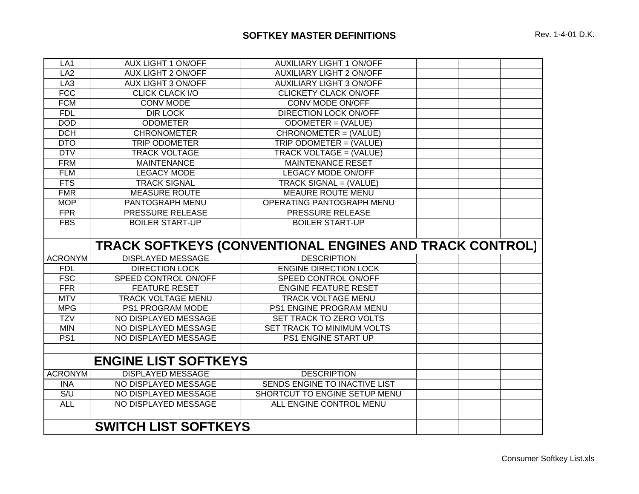| LA <sub>1</sub>                                         | <b>AUX LIGHT 1 ON/OFF</b> | <b>AUXILIARY LIGHT 1 ON/OFF</b> |  |  |
|---------------------------------------------------------|---------------------------|---------------------------------|--|--|
| LA <sub>2</sub>                                         | <b>AUX LIGHT 2 ON/OFF</b> | <b>AUXILIARY LIGHT 2 ON/OFF</b> |  |  |
| LA <sub>3</sub>                                         | AUX LIGHT 3 ON/OFF        | <b>AUXILIARY LIGHT 3 ON/OFF</b> |  |  |
| <b>FCC</b>                                              | <b>CLICK CLACK I/O</b>    | <b>CLICKETY CLACK ON/OFF</b>    |  |  |
| <b>FCM</b>                                              | <b>CONV MODE</b>          | <b>CONV MODE ON/OFF</b>         |  |  |
| <b>FDL</b>                                              | <b>DIR LOCK</b>           | <b>DIRECTION LOCK ON/OFF</b>    |  |  |
| <b>DOD</b>                                              | <b>ODOMETER</b>           | ODOMETER = (VALUE)              |  |  |
| <b>DCH</b>                                              | <b>CHRONOMETER</b>        | CHRONOMETER = (VALUE)           |  |  |
| <b>DTO</b>                                              | <b>TRIP ODOMETER</b>      | TRIP ODOMETER = (VALUE)         |  |  |
| <b>DTV</b>                                              | <b>TRACK VOLTAGE</b>      | TRACK VOLTAGE = (VALUE)         |  |  |
| <b>FRM</b>                                              | <b>MAINTENANCE</b>        | <b>MAINTENANCE RESET</b>        |  |  |
| <b>FLM</b>                                              | <b>LEGACY MODE</b>        | <b>LEGACY MODE ON/OFF</b>       |  |  |
| <b>FTS</b>                                              | <b>TRACK SIGNAL</b>       | TRACK SIGNAL = (VALUE)          |  |  |
| <b>FMR</b>                                              | <b>MEASURE ROUTE</b>      | MEAURE ROUTE MENU               |  |  |
| <b>MOP</b>                                              | PANTOGRAPH MENU           | OPERATING PANTOGRAPH MENU       |  |  |
| <b>FPR</b>                                              | PRESSURE RELEASE          | PRESSURE RELEASE                |  |  |
| <b>FBS</b>                                              | <b>BOILER START-UP</b>    | <b>BOILER START-UP</b>          |  |  |
|                                                         |                           |                                 |  |  |
| TRACK SOFTKEYS (CONVENTIONAL ENGINES AND TRACK CONTROL) |                           |                                 |  |  |
| <b>ACRONYM</b>                                          | <b>DISPLAYED MESSAGE</b>  | <b>DESCRIPTION</b>              |  |  |
| <b>FDL</b>                                              | <b>DIRECTION LOCK</b>     | <b>ENGINE DIRECTION LOCK</b>    |  |  |
| <b>FSC</b>                                              | SPEED CONTROL ON/OFF      | SPEED CONTROL ON/OFF            |  |  |
| <b>FFR</b>                                              | <b>FEATURE RESET</b>      | <b>ENGINE FEATURE RESET</b>     |  |  |
| <b>MTV</b>                                              | <b>TRACK VOLTAGE MENU</b> | TRACK VOLTAGE MENU              |  |  |
| <b>MPG</b>                                              | PS1 PROGRAM MODE          | PS1 ENGINE PROGRAM MENU         |  |  |
| <b>TZV</b>                                              | NO DISPLAYED MESSAGE      | SET TRACK TO ZERO VOLTS         |  |  |
| <b>MIN</b>                                              | NO DISPLAYED MESSAGE      | SET TRACK TO MINIMUM VOLTS      |  |  |
| PS <sub>1</sub>                                         | NO DISPLAYED MESSAGE      | PS1 ENGINE START UP             |  |  |
|                                                         |                           |                                 |  |  |
| <b>ENGINE LIST SOFTKEYS</b>                             |                           |                                 |  |  |
| <b>ACRONYM</b>                                          | <b>DISPLAYED MESSAGE</b>  | <b>DESCRIPTION</b>              |  |  |
| <b>INA</b>                                              | NO DISPLAYED MESSAGE      | SENDS ENGINE TO INACTIVE LIST   |  |  |
| S/U                                                     | NO DISPLAYED MESSAGE      | SHORTCUT TO ENGINE SETUP MENU   |  |  |
| <b>ALL</b>                                              | NO DISPLAYED MESSAGE      | ALL ENGINE CONTROL MENU         |  |  |
|                                                         |                           |                                 |  |  |
| <b>SWITCH LIST SOFTKEYS</b>                             |                           |                                 |  |  |